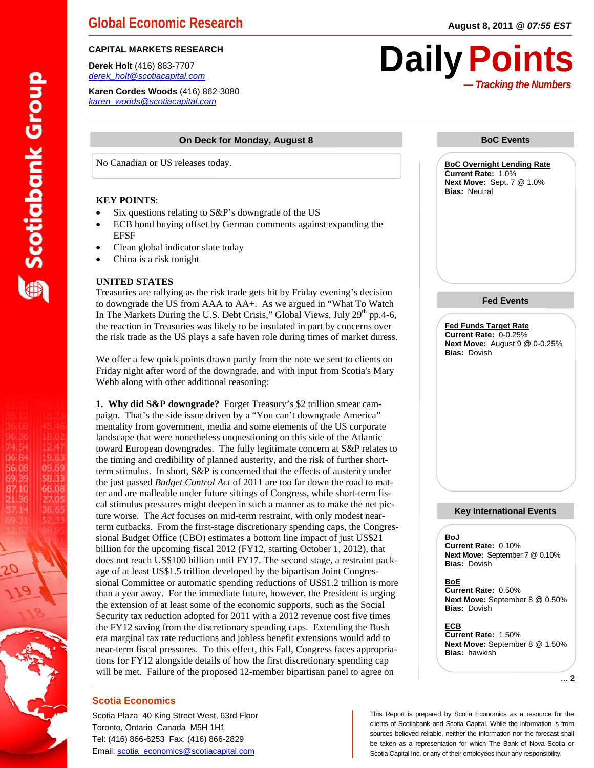**Derek Holt** (416) 863-7707 *derek\_holt@scotiacapital.com* 

**Karen Cordes Woods** (416) 862-3080 *karen\_woods@scotiacapital.com* 

#### **On Deck for Monday, August 8**

No Canadian or US releases today.

#### **KEY POINTS**:

**Scotiabank Group** 

18.02

12.47

19.63

09.69

58.33

66.08

27.05

36.65

74.54

06.84

56.08

69.39

87.10

21.36

57.14

- Six questions relating to S&P's downgrade of the US
- ECB bond buying offset by German comments against expanding the EFSF
- Clean global indicator slate today
- China is a risk tonight

#### **UNITED STATES**

Treasuries are rallying as the risk trade gets hit by Friday evening's decision to downgrade the US from AAA to AA+. As we argued in "What To Watch In The Markets During the U.S. Debt Crisis," Global Views, July 29<sup>th</sup> pp.4-6, the reaction in Treasuries was likely to be insulated in part by concerns over the risk trade as the US plays a safe haven role during times of market duress.

We offer a few quick points drawn partly from the note we sent to clients on Friday night after word of the downgrade, and with input from Scotia's Mary Webb along with other additional reasoning:

**1. Why did S&P downgrade?** Forget Treasury's \$2 trillion smear campaign. That's the side issue driven by a "You can't downgrade America" mentality from government, media and some elements of the US corporate landscape that were nonetheless unquestioning on this side of the Atlantic toward European downgrades. The fully legitimate concern at S&P relates to the timing and credibility of planned austerity, and the risk of further shortterm stimulus. In short, S&P is concerned that the effects of austerity under the just passed *Budget Control Act* of 2011 are too far down the road to matter and are malleable under future sittings of Congress, while short-term fiscal stimulus pressures might deepen in such a manner as to make the net picture worse. The *Act* focuses on mid-term restraint, with only modest nearterm cutbacks. From the first-stage discretionary spending caps, the Congressional Budget Office (CBO) estimates a bottom line impact of just US\$21 billion for the upcoming fiscal 2012 (FY12, starting October 1, 2012), that does not reach US\$100 billion until FY17. The second stage, a restraint package of at least US\$1.5 trillion developed by the bipartisan Joint Congressional Committee or automatic spending reductions of US\$1.2 trillion is more than a year away. For the immediate future, however, the President is urging the extension of at least some of the economic supports, such as the Social Security tax reduction adopted for 2011 with a 2012 revenue cost five times the FY12 saving from the discretionary spending caps. Extending the Bush era marginal tax rate reductions and jobless benefit extensions would add to near-term fiscal pressures. To this effect, this Fall, Congress faces appropriations for FY12 alongside details of how the first discretionary spending cap will be met. Failure of the proposed 12-member bipartisan panel to agree on

#### **Scotia Economics**

Scotia Plaza 40 King Street West, 63rd Floor Toronto, Ontario Canada M5H 1H1 Tel: (416) 866-6253 Fax: (416) 866-2829 Email: scotia\_economics@scotiacapital.com

# *— Tracking the Numbers* CAPITAL MARKETS RESEARCH **Daily Points**

#### **BoC Events**

**BoC Overnight Lending Rate Current Rate:** 1.0% **Next Move:** Sept. 7 @ 1.0% **Bias:** Neutral

#### **Fed Events**

**Fed Funds Target Rate Current Rate:** 0-0.25% **Next Move:** August 9 @ 0-0.25% **Bias:** Dovish

#### **Key International Events**

#### **BoJ**

**Current Rate:** 0.10% **Next Move:** September 7 @ 0.10% **Bias:** Dovish

**BoE Current Rate:** 0.50% **Next Move:** September 8 @ 0.50% **Bias:** Dovish

**ECB Current Rate:** 1.50% **Next Move:** September 8 @ 1.50% **Bias:** hawkish

… 2

This Report is prepared by Scotia Economics as a resource for the clients of Scotiabank and Scotia Capital. While the information is from sources believed reliable, neither the information nor the forecast shall be taken as a representation for which The Bank of Nova Scotia or Scotia Capital Inc. or any of their employees incur any responsibility.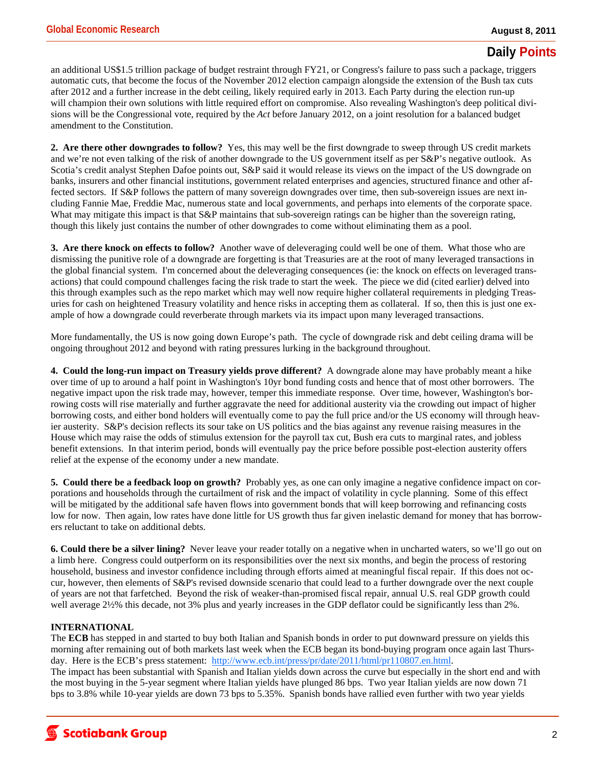## **Daily Points**

an additional US\$1.5 trillion package of budget restraint through FY21, or Congress's failure to pass such a package, triggers automatic cuts, that become the focus of the November 2012 election campaign alongside the extension of the Bush tax cuts after 2012 and a further increase in the debt ceiling, likely required early in 2013. Each Party during the election run-up will champion their own solutions with little required effort on compromise. Also revealing Washington's deep political divisions will be the Congressional vote, required by the *Act* before January 2012, on a joint resolution for a balanced budget amendment to the Constitution.

**2. Are there other downgrades to follow?** Yes, this may well be the first downgrade to sweep through US credit markets and we're not even talking of the risk of another downgrade to the US government itself as per S&P's negative outlook. As Scotia's credit analyst Stephen Dafoe points out, S&P said it would release its views on the impact of the US downgrade on banks, insurers and other financial institutions, government related enterprises and agencies, structured finance and other affected sectors. If S&P follows the pattern of many sovereign downgrades over time, then sub-sovereign issues are next including Fannie Mae, Freddie Mac, numerous state and local governments, and perhaps into elements of the corporate space. What may mitigate this impact is that S&P maintains that sub-sovereign ratings can be higher than the sovereign rating, though this likely just contains the number of other downgrades to come without eliminating them as a pool.

**3. Are there knock on effects to follow?** Another wave of deleveraging could well be one of them. What those who are dismissing the punitive role of a downgrade are forgetting is that Treasuries are at the root of many leveraged transactions in the global financial system. I'm concerned about the deleveraging consequences (ie: the knock on effects on leveraged transactions) that could compound challenges facing the risk trade to start the week. The piece we did (cited earlier) delved into this through examples such as the repo market which may well now require higher collateral requirements in pledging Treasuries for cash on heightened Treasury volatility and hence risks in accepting them as collateral. If so, then this is just one example of how a downgrade could reverberate through markets via its impact upon many leveraged transactions.

More fundamentally, the US is now going down Europe's path. The cycle of downgrade risk and debt ceiling drama will be ongoing throughout 2012 and beyond with rating pressures lurking in the background throughout.

**4. Could the long-run impact on Treasury yields prove different?** A downgrade alone may have probably meant a hike over time of up to around a half point in Washington's 10yr bond funding costs and hence that of most other borrowers. The negative impact upon the risk trade may, however, temper this immediate response. Over time, however, Washington's borrowing costs will rise materially and further aggravate the need for additional austerity via the crowding out impact of higher borrowing costs, and either bond holders will eventually come to pay the full price and/or the US economy will through heavier austerity. S&P's decision reflects its sour take on US politics and the bias against any revenue raising measures in the House which may raise the odds of stimulus extension for the payroll tax cut, Bush era cuts to marginal rates, and jobless benefit extensions. In that interim period, bonds will eventually pay the price before possible post-election austerity offers relief at the expense of the economy under a new mandate.

**5. Could there be a feedback loop on growth?** Probably yes, as one can only imagine a negative confidence impact on corporations and households through the curtailment of risk and the impact of volatility in cycle planning. Some of this effect will be mitigated by the additional safe haven flows into government bonds that will keep borrowing and refinancing costs low for now. Then again, low rates have done little for US growth thus far given inelastic demand for money that has borrowers reluctant to take on additional debts.

**6. Could there be a silver lining?** Never leave your reader totally on a negative when in uncharted waters, so we'll go out on a limb here. Congress could outperform on its responsibilities over the next six months, and begin the process of restoring household, business and investor confidence including through efforts aimed at meaningful fiscal repair. If this does not occur, however, then elements of S&P's revised downside scenario that could lead to a further downgrade over the next couple of years are not that farfetched. Beyond the risk of weaker-than-promised fiscal repair, annual U.S. real GDP growth could well average  $2\frac{1}{2}\%$  this decade, not 3% plus and yearly increases in the GDP deflator could be significantly less than 2%.

### **INTERNATIONAL**

The **ECB** has stepped in and started to buy both Italian and Spanish bonds in order to put downward pressure on yields this morning after remaining out of both markets last week when the ECB began its bond-buying program once again last Thursday. Here is the ECB's press statement: http://www.ecb.int/press/pr/date/2011/html/pr110807.en.html. The impact has been substantial with Spanish and Italian yields down across the curve but especially in the short end and with the most buying in the 5-year segment where Italian yields have plunged 86 bps. Two year Italian yields are now down 71 bps to 3.8% while 10-year yields are down 73 bps to 5.35%. Spanish bonds have rallied even further with two year yields